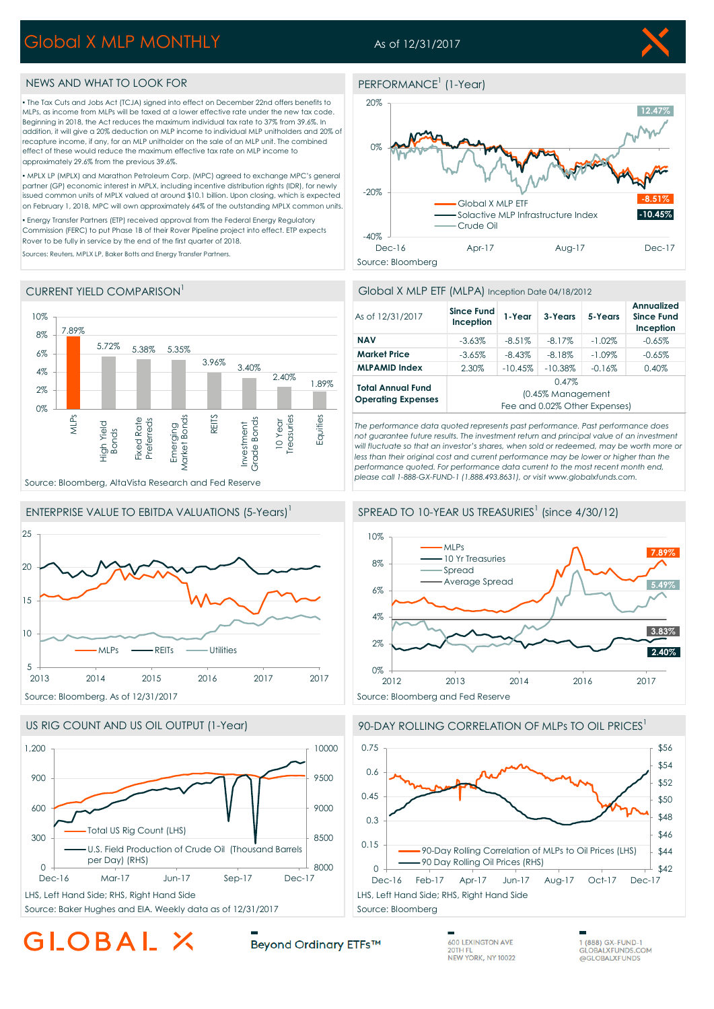# Global X MLP MONTHLY

## As of 12/31/2017

PERFORMANCE<sup>1</sup> (1-Year)



### NEWS AND WHAT TO LOOK FOR

▪ The Tax Cuts and Jobs Act (TCJA) signed into effect on December 22nd offers benefits to MLPs, as income from MLPs will be taxed at a lower effective rate under the new tax code. Beginning in 2018, the Act reduces the maximum individual tax rate to 37% from 39.6%. In addition, it will give a 20% deduction on MLP income to individual MLP unitholders and 20% of recapture income, if any, for an MLP unitholder on the sale of an MLP unit. The combined effect of these would reduce the maximum effective tax rate on MLP income to approximately 29.6% from the previous 39.6%.

▪ MPLX LP (MPLX) and Marathon Petroleum Corp. (MPC) agreed to exchange MPC's general partner (GP) economic interest in MPLX, including incentive distribution rights (IDR), for newly issued common units of MPLX valued at around \$10.1 billion. Upon closing, which is expected on February 1, 2018, MPC will own approximately 64% of the outstanding MPLX common units.

▪ Energy Transfer Partners (ETP) received approval from the Federal Energy Regulatory Commission (FERC) to put Phase 1B of their Rover Pipeline project into effect. ETP expects Rover to be fully in service by the end of the first quarter of 2018.

Sources: Reuters, MPLX LP, Baker Botts and Energy Transfer Partners.

### CURRENT YIELD COMPARISON









### Global X MLP ETF (MLPA) Inception Date 04/18/2012

| As of 12/31/2017                                      | <b>Since Fund</b><br>Inception | 1-Year    | 3-Years    | 5-Years   | <b>Annualized</b><br><b>Since Fund</b><br>Inception |
|-------------------------------------------------------|--------------------------------|-----------|------------|-----------|-----------------------------------------------------|
| <b>NAV</b>                                            | $-3.63\%$                      | $-8.51\%$ | $-8.17%$   | $-1.02\%$ | $-0.65%$                                            |
| <b>Market Price</b>                                   | $-3.65%$                       | $-8.43%$  | $-8.18\%$  | $-1.09\%$ | $-0.65%$                                            |
| <b>MLPAMID Index</b>                                  | 2.30%                          | $-10.45%$ | $-10.38\%$ | $-0.16%$  | 0.40%                                               |
| <b>Total Annual Fund</b><br><b>Operating Expenses</b> | 0.47%                          |           |            |           |                                                     |
|                                                       | (0.45% Management              |           |            |           |                                                     |
|                                                       | Fee and 0.02% Other Expenses)  |           |            |           |                                                     |

*The performance data quoted represents past performance. Past performance does not guarantee future results. The investment return and principal value of an investment will fluctuate so that an investor's shares, when sold or redeemed, may be worth more or*  less than their original cost and current performance may be lower or higher than the performance quoted. For performance data current to the most recent month end, *please call 1-888-GX-FUND-1 (1.888.493.8631), or visit www.globalxfunds.com.*







### 90-DAY ROLLING CORRELATION OF MLPs TO OIL PRICES<sup>1</sup>

GLOBAL X

Beyond Ordinary ETFs™

**600 LEXINGTON AVE** 20TH FL<br>NEW YORK, NY 10022

1 (888) GX-FUND-1 **GLOBALXFUNDS.COM** @GLOBALXFUNDS